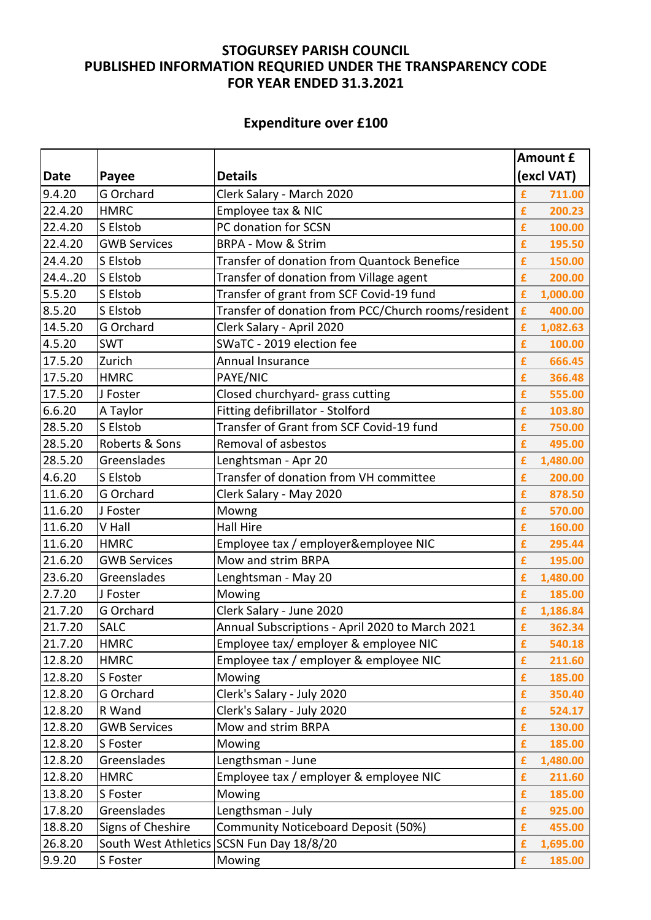## **STOGURSEY PARISH COUNCIL PUBLISHED INFORMATION REQURIED UNDER THE TRANSPARENCY CODE FOR YEAR ENDED 31.3.2021**

## **Expenditure over £100**

|             |                     |                                                     | Amount £      |  |
|-------------|---------------------|-----------------------------------------------------|---------------|--|
| <b>Date</b> | Payee               | <b>Details</b>                                      | (excl VAT)    |  |
| 9.4.20      | G Orchard           | Clerk Salary - March 2020                           | £<br>711.00   |  |
| 22.4.20     | <b>HMRC</b>         | Employee tax & NIC                                  | £<br>200.23   |  |
| 22.4.20     | S Elstob            | PC donation for SCSN                                | £<br>100.00   |  |
| 22.4.20     | <b>GWB Services</b> | <b>BRPA - Mow &amp; Strim</b>                       | £<br>195.50   |  |
| 24.4.20     | S Elstob            | Transfer of donation from Quantock Benefice         | £<br>150.00   |  |
| 24.4.20     | S Elstob            | Transfer of donation from Village agent             | 200.00<br>£   |  |
| 5.5.20      | S Elstob            | Transfer of grant from SCF Covid-19 fund            | £<br>1,000.00 |  |
| 8.5.20      | S Elstob            | Transfer of donation from PCC/Church rooms/resident | £<br>400.00   |  |
| 14.5.20     | G Orchard           | Clerk Salary - April 2020                           | £<br>1,082.63 |  |
| 4.5.20      | <b>SWT</b>          | SWaTC - 2019 election fee                           | £<br>100.00   |  |
| 17.5.20     | Zurich              | Annual Insurance                                    | £<br>666.45   |  |
| 17.5.20     | <b>HMRC</b>         | PAYE/NIC                                            | £<br>366.48   |  |
| 17.5.20     | J Foster            | Closed churchyard- grass cutting                    | £<br>555.00   |  |
| 6.6.20      | A Taylor            | Fitting defibrillator - Stolford                    | £<br>103.80   |  |
| 28.5.20     | S Elstob            | Transfer of Grant from SCF Covid-19 fund            | £<br>750.00   |  |
| 28.5.20     | Roberts & Sons      | Removal of asbestos                                 | £<br>495.00   |  |
| 28.5.20     | Greenslades         | Lenghtsman - Apr 20                                 | £<br>1,480.00 |  |
| 4.6.20      | S Elstob            | Transfer of donation from VH committee              | £<br>200.00   |  |
| 11.6.20     | G Orchard           | Clerk Salary - May 2020                             | £<br>878.50   |  |
| 11.6.20     | J Foster            | Mowng                                               | £<br>570.00   |  |
| 11.6.20     | V Hall              | <b>Hall Hire</b>                                    | £<br>160.00   |  |
| 11.6.20     | <b>HMRC</b>         | Employee tax / employer&employee NIC                | £<br>295.44   |  |
| 21.6.20     | <b>GWB Services</b> | Mow and strim BRPA                                  | £<br>195.00   |  |
| 23.6.20     | Greenslades         | Lenghtsman - May 20                                 | £<br>1,480.00 |  |
| 2.7.20      | J Foster            | Mowing                                              | £<br>185.00   |  |
| 21.7.20     | G Orchard           | Clerk Salary - June 2020                            | £<br>1,186.84 |  |
| 21.7.20     | <b>SALC</b>         | Annual Subscriptions - April 2020 to March 2021     | £<br>362.34   |  |
| 21.7.20     | <b>HMRC</b>         | Employee tax/ employer & employee NIC               | 540.18<br>£   |  |
| 12.8.20     | <b>HMRC</b>         | Employee tax / employer & employee NIC              | £<br>211.60   |  |
| 12.8.20     | S Foster            | Mowing                                              | £<br>185.00   |  |
| 12.8.20     | G Orchard           | Clerk's Salary - July 2020                          | £<br>350.40   |  |
| 12.8.20     | R Wand              | Clerk's Salary - July 2020                          | £<br>524.17   |  |
| 12.8.20     | <b>GWB Services</b> | Mow and strim BRPA                                  | £<br>130.00   |  |
| 12.8.20     | S Foster            | Mowing                                              | £<br>185.00   |  |
| 12.8.20     | Greenslades         | Lengthsman - June                                   | £<br>1,480.00 |  |
| 12.8.20     | <b>HMRC</b>         | Employee tax / employer & employee NIC              | £<br>211.60   |  |
| 13.8.20     | S Foster            | Mowing                                              | £<br>185.00   |  |
| 17.8.20     | Greenslades         | Lengthsman - July                                   | £<br>925.00   |  |
| 18.8.20     | Signs of Cheshire   | Community Noticeboard Deposit (50%)                 | £<br>455.00   |  |
| 26.8.20     |                     | South West Athletics SCSN Fun Day 18/8/20           | £<br>1,695.00 |  |
| 9.9.20      | S Foster            | Mowing                                              | £<br>185.00   |  |